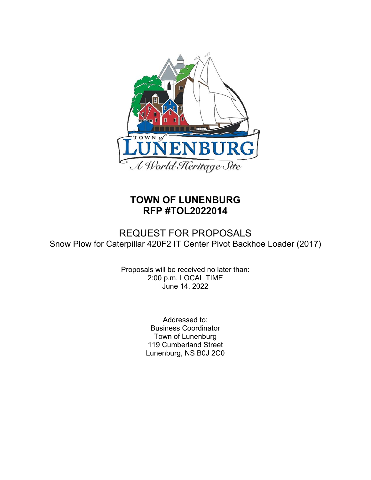

# **TOWN OF LUNENBURG RFP #TOL2022014**

## REQUEST FOR PROPOSALS Snow Plow for Caterpillar 420F2 IT Center Pivot Backhoe Loader (2017)

Proposals will be received no later than: 2:00 p.m. LOCAL TIME June 14, 2022

> Addressed to: Business Coordinator Town of Lunenburg 119 Cumberland Street Lunenburg, NS B0J 2C0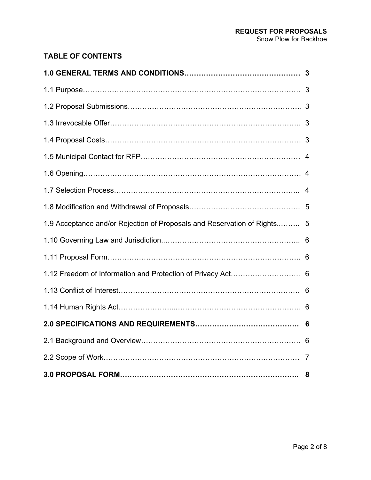## **TABLE OF CONTENTS**

| 1.9 Acceptance and/or Rejection of Proposals and Reservation of Rights 5 |  |
|--------------------------------------------------------------------------|--|
|                                                                          |  |
|                                                                          |  |
| 1.12 Freedom of Information and Protection of Privacy Act 6              |  |
|                                                                          |  |
|                                                                          |  |
|                                                                          |  |
|                                                                          |  |
|                                                                          |  |
|                                                                          |  |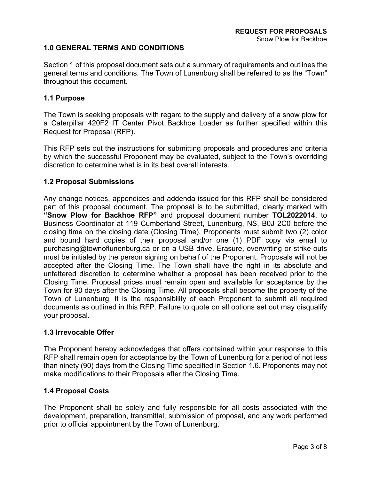#### **1.0 GENERAL TERMS AND CONDITIONS**

Section 1 of this proposal document sets out a summary of requirements and outlines the general terms and conditions. The Town of Lunenburg shall be referred to as the "Town" throughout this document.

#### **1.1 Purpose**

The Town is seeking proposals with regard to the supply and delivery of a snow plow for a Caterpillar 420F2 IT Center Pivot Backhoe Loader as further specified within this Request for Proposal (RFP).

This RFP sets out the instructions for submitting proposals and procedures and criteria by which the successful Proponent may be evaluated, subject to the Town's overriding discretion to determine what is in its best overall interests.

#### **1.2 Proposal Submissions**

Any change notices, appendices and addenda issued for this RFP shall be considered part of this proposal document. The proposal is to be submitted, clearly marked with **"Snow Plow for Backhoe RFP"** and proposal document number **TOL2022014**, to Business Coordinator at 119 Cumberland Street, Lunenburg, NS, B0J 2C0 before the closing time on the closing date (Closing Time). Proponents must submit two (2) color and bound hard copies of their proposal and/or one (1) PDF copy via email to purchasing@townoflunenburg.ca or on a USB drive. Erasure, overwriting or strike-outs must be initialed by the person signing on behalf of the Proponent. Proposals will not be accepted after the Closing Time. The Town shall have the right in its absolute and unfettered discretion to determine whether a proposal has been received prior to the Closing Time. Proposal prices must remain open and available for acceptance by the Town for 90 days after the Closing Time. All proposals shall become the property of the Town of Lunenburg. It is the responsibility of each Proponent to submit all required documents as outlined in this RFP. Failure to quote on all options set out may disqualify your proposal.

#### **1.3 Irrevocable Offer**

The Proponent hereby acknowledges that offers contained within your response to this RFP shall remain open for acceptance by the Town of Lunenburg for a period of not less than ninety (90) days from the Closing Time specified in Section 1.6. Proponents may not make modifications to their Proposals after the Closing Time.

#### **1.4 Proposal Costs**

The Proponent shall be solely and fully responsible for all costs associated with the development, preparation, transmittal, submission of proposal, and any work performed prior to official appointment by the Town of Lunenburg.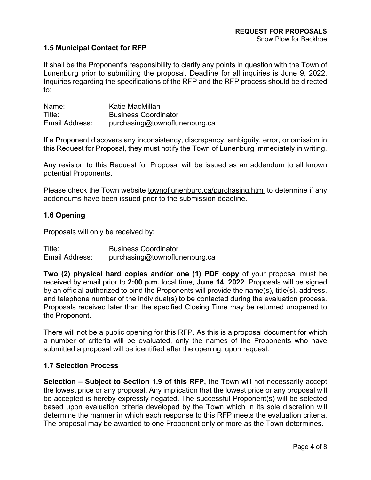#### **1.5 Municipal Contact for RFP**

It shall be the Proponent's responsibility to clarify any points in question with the Town of Lunenburg prior to submitting the proposal. Deadline for all inquiries is June 9, 2022. Inquiries regarding the specifications of the RFP and the RFP process should be directed to:

| Name:          | Katie MacMillan               |
|----------------|-------------------------------|
| Title:         | <b>Business Coordinator</b>   |
| Email Address: | purchasing@townoflunenburg.ca |

If a Proponent discovers any inconsistency, discrepancy, ambiguity, error, or omission in this Request for Proposal, they must notify the Town of Lunenburg immediately in writing.

Any revision to this Request for Proposal will be issued as an addendum to all known potential Proponents.

Please check the Town website townoflunenburg.ca/purchasing.html to determine if any addendums have been issued prior to the submission deadline.

#### **1.6 Opening**

Proposals will only be received by:

Title: Business Coordinator Email Address: purchasing@townoflunenburg.ca

**Two (2) physical hard copies and/or one (1) PDF copy** of your proposal must be received by email prior to **2:00 p.m.** local time, **June 14, 2022**. Proposals will be signed by an official authorized to bind the Proponents will provide the name(s), title(s), address, and telephone number of the individual(s) to be contacted during the evaluation process. Proposals received later than the specified Closing Time may be returned unopened to the Proponent.

There will not be a public opening for this RFP. As this is a proposal document for which a number of criteria will be evaluated, only the names of the Proponents who have submitted a proposal will be identified after the opening, upon request.

#### **1.7 Selection Process**

**Selection – Subject to Section 1.9 of this RFP,** the Town will not necessarily accept the lowest price or any proposal. Any implication that the lowest price or any proposal will be accepted is hereby expressly negated. The successful Proponent(s) will be selected based upon evaluation criteria developed by the Town which in its sole discretion will determine the manner in which each response to this RFP meets the evaluation criteria. The proposal may be awarded to one Proponent only or more as the Town determines.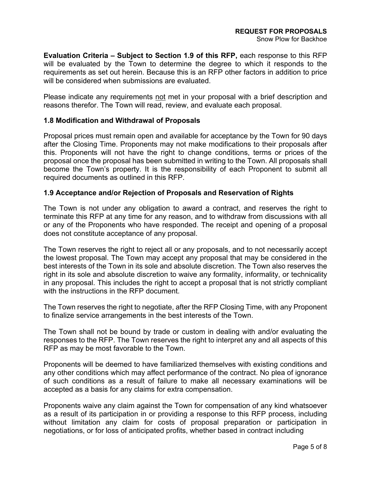**Evaluation Criteria – Subject to Section 1.9 of this RFP,** each response to this RFP will be evaluated by the Town to determine the degree to which it responds to the requirements as set out herein. Because this is an RFP other factors in addition to price will be considered when submissions are evaluated.

Please indicate any requirements not met in your proposal with a brief description and reasons therefor. The Town will read, review, and evaluate each proposal.

#### **1.8 Modification and Withdrawal of Proposals**

Proposal prices must remain open and available for acceptance by the Town for 90 days after the Closing Time. Proponents may not make modifications to their proposals after this. Proponents will not have the right to change conditions, terms or prices of the proposal once the proposal has been submitted in writing to the Town. All proposals shall become the Town's property. It is the responsibility of each Proponent to submit all required documents as outlined in this RFP.

#### **1.9 Acceptance and/or Rejection of Proposals and Reservation of Rights**

The Town is not under any obligation to award a contract, and reserves the right to terminate this RFP at any time for any reason, and to withdraw from discussions with all or any of the Proponents who have responded. The receipt and opening of a proposal does not constitute acceptance of any proposal.

The Town reserves the right to reject all or any proposals, and to not necessarily accept the lowest proposal. The Town may accept any proposal that may be considered in the best interests of the Town in its sole and absolute discretion. The Town also reserves the right in its sole and absolute discretion to waive any formality, informality, or technicality in any proposal. This includes the right to accept a proposal that is not strictly compliant with the instructions in the RFP document.

The Town reserves the right to negotiate, after the RFP Closing Time, with any Proponent to finalize service arrangements in the best interests of the Town.

The Town shall not be bound by trade or custom in dealing with and/or evaluating the responses to the RFP. The Town reserves the right to interpret any and all aspects of this RFP as may be most favorable to the Town.

Proponents will be deemed to have familiarized themselves with existing conditions and any other conditions which may affect performance of the contract. No plea of ignorance of such conditions as a result of failure to make all necessary examinations will be accepted as a basis for any claims for extra compensation.

Proponents waive any claim against the Town for compensation of any kind whatsoever as a result of its participation in or providing a response to this RFP process, including without limitation any claim for costs of proposal preparation or participation in negotiations, or for loss of anticipated profits, whether based in contract including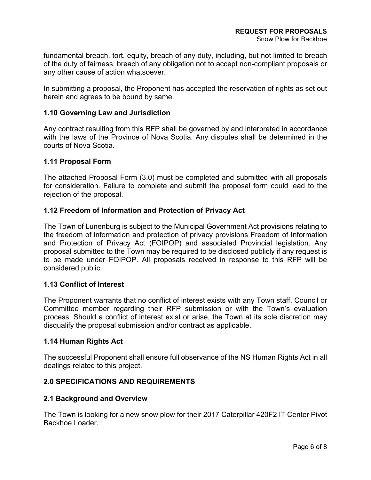fundamental breach, tort, equity, breach of any duty, including, but not limited to breach of the duty of fairness, breach of any obligation not to accept non-compliant proposals or any other cause of action whatsoever.

In submitting a proposal, the Proponent has accepted the reservation of rights as set out herein and agrees to be bound by same.

#### **1.10 Governing Law and Jurisdiction**

Any contract resulting from this RFP shall be governed by and interpreted in accordance with the laws of the Province of Nova Scotia. Any disputes shall be determined in the courts of Nova Scotia.

#### **1.11 Proposal Form**

The attached Proposal Form (3.0) must be completed and submitted with all proposals for consideration. Failure to complete and submit the proposal form could lead to the rejection of the proposal.

#### **1.12 Freedom of Information and Protection of Privacy Act**

The Town of Lunenburg is subject to the Municipal Government Act provisions relating to the freedom of information and protection of privacy provisions Freedom of Information and Protection of Privacy Act (FOIPOP) and associated Provincial legislation. Any proposal submitted to the Town may be required to be disclosed publicly if any request is to be made under FOIPOP. All proposals received in response to this RFP will be considered public.

#### **1.13 Conflict of Interest**

The Proponent warrants that no conflict of interest exists with any Town staff, Council or Committee member regarding their RFP submission or with the Town's evaluation process. Should a conflict of interest exist or arise, the Town at its sole discretion may disqualify the proposal submission and/or contract as applicable.

#### **1.14 Human Rights Act**

The successful Proponent shall ensure full observance of the NS Human Rights Act in all dealings related to this project.

#### **2.0 SPECIFICATIONS AND REQUIREMENTS**

#### **2.1 Background and Overview**

The Town is looking for a new snow plow for their 2017 Caterpillar 420F2 IT Center Pivot Backhoe Loader.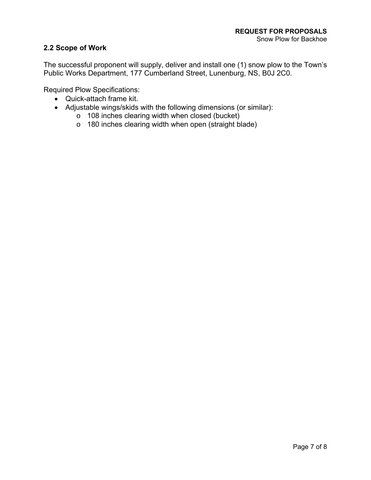#### **2.2 Scope of Work**

The successful proponent will supply, deliver and install one (1) snow plow to the Town's Public Works Department, 177 Cumberland Street, Lunenburg, NS, B0J 2C0.

Required Plow Specifications:

- Quick-attach frame kit.
- Adjustable wings/skids with the following dimensions (or similar):
	- o 108 inches clearing width when closed (bucket)
	- o 180 inches clearing width when open (straight blade)